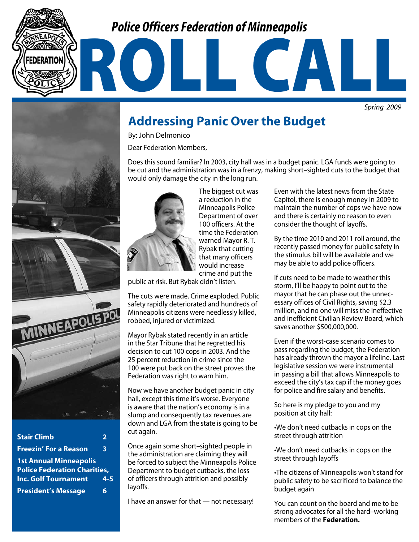## *Police Officers Federation of Minneapolis*

*Spring 2009*



| <b>Stair Climb</b>                                                   | 2       |
|----------------------------------------------------------------------|---------|
| <b>Freezin' For a Reason</b>                                         | 3       |
| <b>1st Annual Minneapolis</b><br><b>Police Federation Charities,</b> |         |
| <b>Inc. Golf Tournament</b>                                          | $4 - 5$ |
| <b>President's Message</b>                                           | 6       |

## **Addressing Panic Over the Budget**

By: John Delmonico

Dear Federation Members,

Does this sound familiar? In 2003, city hall was in a budget panic. LGA funds were going to be cut and the administration was in a frenzy, making short–sighted cuts to the budget that would only damage the city in the long run.

ROLL CALL



The biggest cut was a reduction in the Minneapolis Police Department of over 100 officers. At the time the Federation warned Mayor R. T. Rybak that cutting that many officers would increase crime and put the

public at risk. But Rybak didn't listen.

The cuts were made. Crime exploded. Public safety rapidly deteriorated and hundreds of Minneapolis citizens were needlessly killed, robbed, injured or victimized.

Mayor Rybak stated recently in an article in the Star Tribune that he regretted his decision to cut 100 cops in 2003. And the 25 percent reduction in crime since the 100 were put back on the street proves the Federation was right to warn him.

Now we have another budget panic in city hall, except this time it's worse. Everyone is aware that the nation's economy is in a slump and consequently tax revenues are down and LGA from the state is going to be cut again.

Once again some short–sighted people in the administration are claiming they will be forced to subject the Minneapolis Police Department to budget cutbacks, the loss of officers through attrition and possibly layoffs.

I have an answer for that — not necessary!

Even with the latest news from the State Capitol, there is enough money in 2009 to maintain the number of cops we have now and there is certainly no reason to even consider the thought of layoffs.

By the time 2010 and 2011 roll around, the recently passed money for public safety in the stimulus bill will be available and we may be able to add police officers.

If cuts need to be made to weather this storm, I'll be happy to point out to the mayor that he can phase out the unnecessary offices of Civil Rights, saving \$2.3 million, and no one will miss the ineffective and inefficient Civilian Review Board, which saves another \$500,000,000.

Even if the worst-case scenario comes to pass regarding the budget, the Federation has already thrown the mayor a lifeline. Last legislative session we were instrumental in passing a bill that allows Minneapolis to exceed the city's tax cap if the money goes for police and fire salary and benefits.

So here is my pledge to you and my position at city hall:

•We don't need cutbacks in cops on the street through attrition

•We don't need cutbacks in cops on the street through layoffs

•The citizens of Minneapolis won't stand for public safety to be sacrificed to balance the budget again

You can count on the board and me to be strong advocates for all the hard–working members of the **Federation.**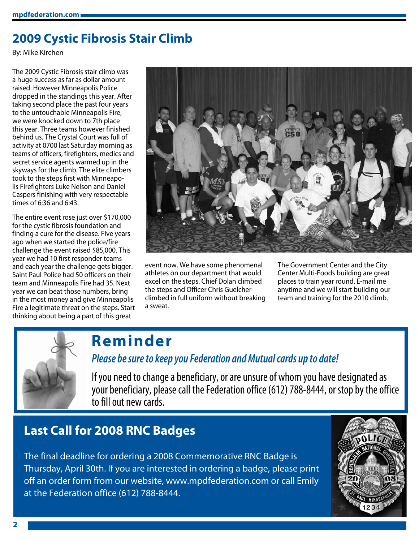## **2009 Cystic Fibrosis Stair Climb**

By: Mike Kirchen

The 2009 Cystic Fibrosis stair climb was a huge success as far as dollar amount raised. However Minneapolis Police dropped in the standings this year. After taking second place the past four years to the untouchable Minneapolis Fire, we were knocked down to 7th place this year. Three teams however finished behind us. The Crystal Court was full of activity at 0700 last Saturday morning as teams of officers, firefighters, medics and secret service agents warmed up in the skyways for the climb. The elite climbers took to the steps first with Minneapolis Firefighters Luke Nelson and Daniel Caspers finishing with very respectable times of 6:36 and 6:43.

The entire event rose just over \$170,000 for the cystic fibrosis foundation and finding a cure for the disease. FIve years ago when we started the police/fire challenge the event raised \$85,000. This year we had 10 first responder teams and each year the challenge gets bigger. Saint Paul Police had 50 officers on their team and Minneapolis Fire had 35. Next year we can beat those numbers, bring in the most money and give Minneapolis Fire a legitimate threat on the steps. Start thinking about being a part of this great



event now. We have some phenomenal athletes on our department that would excel on the steps. Chief Dolan climbed the steps and Officer Chris Guelcher climbed in full uniform without breaking a sweat.

The Government Center and the City Center Multi-Foods building are great places to train year round. E-mail me anytime and we will start building our team and training for the 2010 climb.



# **Reminder**

### *Please be sure to keep you Federation and Mutual cards up to date!*

If you need to change a beneficiary, or are unsure of whom you have designated as your beneficiary, please call the Federation office (612) 788-8444, or stop by the office to fill out new cards.

### **Last Call for 2008 RNC Badges**

The final deadline for ordering a 2008 Commemorative RNC Badge is Thursday, April 30th. If you are interested in ordering a badge, please print off an order form from our website, www.mpdfederation.com or call Emily at the Federation office (612) 788-8444.

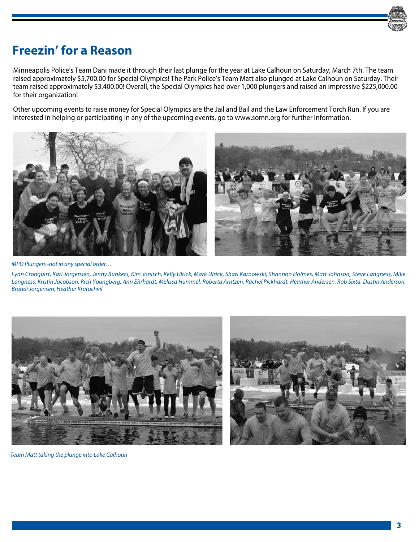

## **Freezin' for a Reason**

Minneapolis Police's Team Dani made it through their last plunge for the year at Lake Calhoun on Saturday, March 7th. The team raised approximately \$5,700.00 for Special Olympics! The Park Police's Team Matt also plunged at Lake Calhoun on Saturday. Their team raised approximately \$3,400.00! Overall, the Special Olympics had over 1,000 plungers and raised an impressive \$225,000.00 for their organization!

Other upcoming events to raise money for Special Olympics are the Jail and Bail and the Law Enforcement Torch Run. If you are interested in helping or participating in any of the upcoming events, go to www.somn.org for further information.



*MPD Plungers -not in any special order…*

*Lynn Cronquist, Kari Jorgensen, Jenny Bunkers, Kim Janisch, Kelly Ulrick, Mark Ulrick, Shari Karnowski, Shannon Holmes, Matt Johnson, Steve Langness, Mike Langness, Kristin Jacobson, Rich Youngberg, Ann Ehrhardt, Melissa Hummel, Roberta Arntzen, Rachel Pickhardt, Heather Andersen, Rob Sixta, Dustin Anderson, Brandi Jorgensen, Heather Kratochvil*





*Team Matt taking the plunge into Lake Calhoun*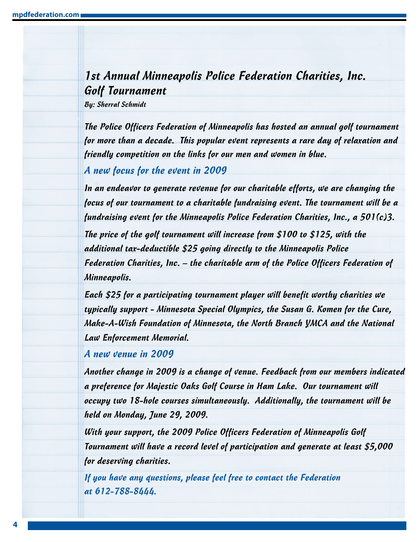### 1st Annual Minneapolis Police Federation Charities, Inc. Golf Tournament

By: Sherral Schmidt

The Police Officers Federation of Minneapolis has hosted an annual golf tournament for more than a decade. This popular event represents a rare day of relaxation and friendly competition on the links for our men and women in blue.

A new focus for the event in 2009

In an endeavor to generate revenue for our charitable efforts, we are changing the focus of our tournament to a charitable fundraising event. The tournament will be a fundraising event for the Minneapolis Police Federation Charities, Inc., a 501(c)3.

The price of the golf tournament will increase from \$100 to \$125, with the additional tax-deductible \$25 going directly to the Minneapolis Police Federation Charities, Inc. – the charitable arm of the Police Officers Federation of Minneapolis.

Each \$25 for a participating tournament player will benefit worthy charities we typically support - Minnesota Special Olympics, the Susan G. Komen for the Cure, Make-A-Wish Foundation of Minnesota, the North Branch YMCA and the National Law Enforcement Memorial.

A new venue in 2009

Another change in 2009 is a change of venue. Feedback from our members indicated a preference for Majestic Oaks Golf Course in Ham Lake. Our tournament will occupy two 18-hole courses simultaneously. Additionally, the tournament will be held on Monday, June 29, 2009.

With your support, the 2009 Police Officers Federation of Minneapolis Golf Tournament will have a record level of participation and generate at least \$5,000 for deserving charities.

If you have any questions, please feel free to contact the Federation at 612-788-8444.

**4**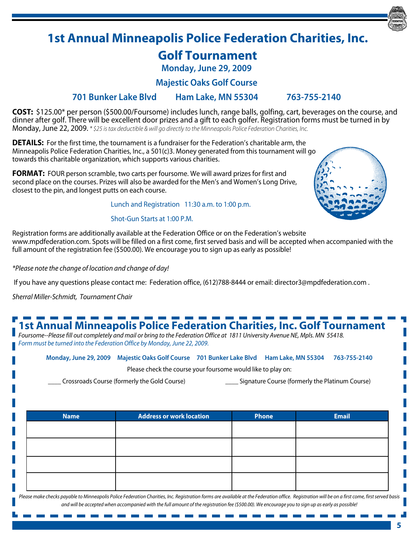## **1st Annual Minneapolis Police Federation Charities, Inc.**

### **Golf Tournament**

**Monday, June 29, 2009**

**Majestic Oaks Golf Course**

#### **701 Bunker Lake Blvd Ham Lake, MN 55304 763-755-2140**

**COST:** \$125.00\* per person (\$500.00/Foursome) includes lunch, range balls, golfing, cart, beverages on the course, and dinner after golf. There will be excellent door prizes and a gift to each golfer. Registration forms must be turned in by Monday, June 22, 2009. *\* \$25 is tax deductible & will go directly to the Minneapolis Police Federation Charities, Inc.*

**DETAILS:** For the first time, the tournament is a fundraiser for the Federation's charitable arm, the Minneapolis Police Federation Charities, Inc., a 501(c)3. Money generated from this tournament will go towards this charitable organization, which supports various charities.

**FORMAT:** FOUR person scramble, two carts per foursome. We will award prizes for first and second place on the courses. Prizes will also be awarded for the Men's and Women's Long Drive, closest to the pin, and longest putts on each course.

Lunch and Registration 11:30 a.m. to 1:00 p.m.

#### Shot-Gun Starts at 1:00 P.M.



Registration forms are additionally available at the Federation Office or on the Federation's website www.mpdfederation.com. Spots will be filled on a first come, first served basis and will be accepted when accompanied with the full amount of the registration fee (\$500.00). We encourage you to sign up as early as possible!

*\*Please note the change of location and change of day!*

If you have any questions please contact me: Federation office, (612)788-8444 or email: director3@mpdfederation.com .

*Sherral Miller-Schmidt, Tournament Chair*

## **1st Annual Minneapolis Police Federation Charities, Inc. Golf Tournament**

*Foursome--Please fill out completely and mail or bring to the Federation Office at 1811 University Avenue NE, Mpls. MN 55418. Form must be turned into the Federation Office by Monday, June 22, 2009.*

**Monday, June 29, 2009 Majestic Oaks Golf Course 701 Bunker Lake Blvd Ham Lake, MN 55304 763-755-2140**

Please check the course your foursome would like to play on:

\_\_\_\_ Crossroads Course (formerly the Gold Course) \_\_\_\_ Signature Course (formerly the Platinum Course)

| <b>Name</b> | <b>Address or work location</b> | Phone | <b>Email</b> |
|-------------|---------------------------------|-------|--------------|
|             |                                 |       |              |
|             |                                 |       |              |
|             |                                 |       |              |
|             |                                 |       |              |
|             |                                 |       |              |
|             |                                 |       |              |

*Please make checks payable to Minneapolis Police Federation Charities, Inc. Registration forms are available at the Federation office. Registration will be on a first come, first served basis and will be accepted when accompanied with the full amount of the registration fee (\$500.00). We encourage you to sign up as early as possible!*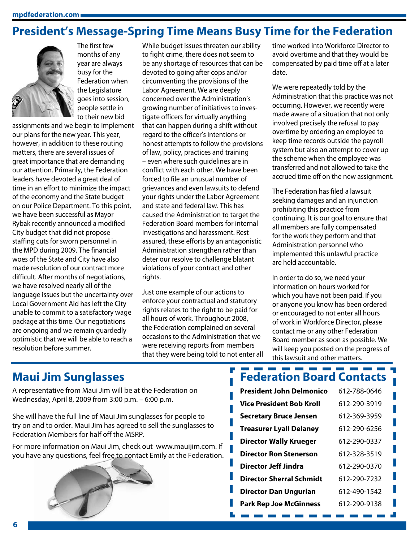### **President's Message-Spring Time Means Busy Time for the Federation**



The first few months of any year are always busy for the Federation when the Legislature goes into session, people settle in to their new bid

assignments and we begin to implement our plans for the new year. This year, however, in addition to these routing matters, there are several issues of great importance that are demanding our attention. Primarily, the Federation leaders have devoted a great deal of time in an effort to minimize the impact of the economy and the State budget on our Police Department. To this point, we have been successful as Mayor Rybak recently announced a modified City budget that did not propose staffing cuts for sworn personnel in the MPD during 2009. The financial woes of the State and City have also made resolution of our contract more difficult. After months of negotiations, we have resolved nearly all of the language issues but the uncertainty over Local Government Aid has left the City unable to commit to a satisfactory wage package at this time. Our negotiations are ongoing and we remain guardedly optimistic that we will be able to reach a resolution before summer.

While budget issues threaten our ability to fight crime, there does not seem to be any shortage of resources that can be devoted to going after cops and/or circumventing the provisions of the Labor Agreement. We are deeply concerned over the Administration's growing number of initiatives to investigate officers for virtually anything that can happen during a shift without regard to the officer's intentions or honest attempts to follow the provisions of law, policy, practices and training – even where such guidelines are in conflict with each other. We have been forced to file an unusual number of grievances and even lawsuits to defend your rights under the Labor Agreement and state and federal law. This has caused the Administration to target the Federation Board members for internal investigations and harassment. Rest assured, these efforts by an antagonistic Administration strengthen rather than deter our resolve to challenge blatant violations of your contract and other rights.

Just one example of our actions to enforce your contractual and statutory rights relates to the right to be paid for all hours of work. Throughout 2008, the Federation complained on several occasions to the Administration that we were receiving reports from members that they were being told to not enter all time worked into Workforce Director to avoid overtime and that they would be compensated by paid time off at a later date.

We were repeatedly told by the Administration that this practice was not occurring. However, we recently were made aware of a situation that not only involved precisely the refusal to pay overtime by ordering an employee to keep time records outside the payroll system but also an attempt to cover up the scheme when the employee was transferred and not allowed to take the accrued time off on the new assignment.

The Federation has filed a lawsuit seeking damages and an injunction prohibiting this practice from continuing. It is our goal to ensure that all members are fully compensated for the work they perform and that Administration personnel who implemented this unlawful practice are held accountable.

In order to do so, we need your information on hours worked for which you have not been paid. If you or anyone you know has been ordered or encouraged to not enter all hours of work in Workforce Director, please contact me or any other Federation Board member as soon as possible. We will keep you posted on the progress of this lawsuit and other matters.

### **Maui Jim Sunglasses**

A representative from Maui Jim will be at the Federation on Wednesday, April 8, 2009 from 3:00 p.m. – 6:00 p.m.

She will have the full line of Maui Jim sunglasses for people to try on and to order. Maui Jim has agreed to sell the sunglasses to Federation Members for half off the MSRP.

For more information on Maui Jim, check out www.mauijim.com. If you have any questions, feel free to contact Emily at the Federation.



#### <u> 1989 - John Barn Barn, mangkat sa Pang</u> **Federation Board Contacts**

| <b>President John Delmonico</b> | 612-788-0646 |
|---------------------------------|--------------|
| <u>Vice President Bob Kroll</u> | 612-290-3919 |
| <b>Secretary Bruce Jensen</b>   | 612-369-3959 |
| <b>Treasurer Lyall Delaney</b>  | 612-290-6256 |
| <b>Director Wally Krueger</b>   | 612-290-0337 |
| <b>Director Ron Stenerson</b>   | 612-328-3519 |
| Director Jeff Jindra            | 612-290-0370 |
| <b>Director Sherral Schmidt</b> | 612-290-7232 |
| Director Dan Ungurian           | 612-490-1542 |
| <b>Park Rep Joe McGinness</b>   | 612-290-9138 |
|                                 |              |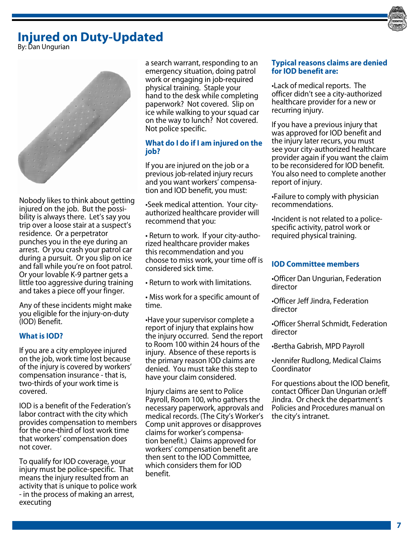### **Injured on Duty-Updated**



By: Dan Ungurian



Nobody likes to think about getting injured on the job. But the possibility is always there. Let's say you trip over a loose stair at a suspect's residence. Or a perpetrator punches you in the eye during an arrest. Or you crash your patrol car during a pursuit. Or you slip on ice and fall while you're on foot patrol. Or your lovable K-9 partner gets a little too aggressive during training and takes a piece off your finger.

Any of these incidents might make you eligible for the injury-on-duty (IOD) Benefit.

#### **What is IOD?**

If you are a city employee injured on the job, work time lost because of the injury is covered by workers' compensation insurance - that is, two-thirds of your work time is covered.

IOD is a benefit of the Federation's labor contract with the city which provides compensation to members for the one-third of lost work time that workers' compensation does not cover.

To qualify for IOD coverage, your injury must be police-specific. That means the injury resulted from an activity that is unique to police work - in the process of making an arrest, executing

a search warrant, responding to an emergency situation, doing patrol work or engaging in job-required physical training. Staple your hand to the desk while completing paperwork? Not covered. Slip on ice while walking to your squad car on the way to lunch? Not covered. Not police specific.

#### **What do I do if I am injured on the job?**

If you are injured on the job or a previous job-related injury recurs and you want workers' compensation and IOD benefit, you must:

•Seek medical attention. Your cityauthorized healthcare provider will recommend that you:

• Return to work. If your city-authorized healthcare provider makes this recommendation and you choose to miss work, your time off is considered sick time.

• Return to work with limitations.

• Miss work for a specific amount of time.

•Have your supervisor complete a report of injury that explains how the injury occurred. Send the report to Room 100 within 24 hours of the injury. Absence of these reports is the primary reason IOD claims are denied. You must take this step to have your claim considered.

Injury claims are sent to Police Payroll, Room 100, who gathers the necessary paperwork, approvals and medical records. (The City's Worker's Comp unit approves or disapproves claims for worker's compensation benefit.) Claims approved for workers' compensation benefit are then sent to the IOD Committee, which considers them for IOD benefit.

#### **Typical reasons claims are denied for IOD benefit are:**

•Lack of medical reports. The officer didn't see a city-authorized healthcare provider for a new or recurring injury.

If you have a previous injury that was approved for IOD benefit and the injury later recurs, you must see your city-authorized healthcare provider again if you want the claim to be reconsidered for IOD benefit. You also need to complete another report of injury.

•Failure to comply with physician recommendations.

•Incident is not related to a policespecific activity, patrol work or required physical training.

#### **IOD Committee members**

•Officer Dan Ungurian, Federation director

•Officer Jeff Jindra, Federation director

•Officer Sherral Schmidt, Federation director

•Bertha Gabrish, MPD Payroll

•Jennifer Rudlong, Medical Claims Coordinator

For questions about the IOD benefit, contact Officer Dan Ungurian orJeff Jindra. Or check the department's Policies and Procedures manual on the city's intranet.